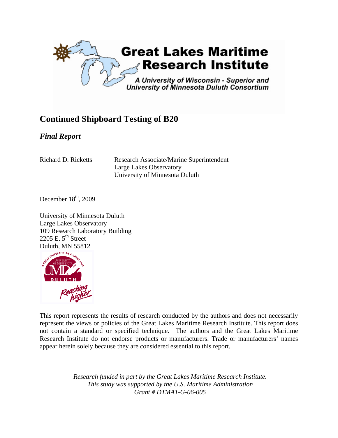

## **Continued Shipboard Testing of B20**

### *Final Report*

Richard D. Ricketts Research Associate/Marine Superintendent Large Lakes Observatory University of Minnesota Duluth

December  $18<sup>th</sup>$ , 2009

University of Minnesota Duluth Large Lakes Observatory 109 Research Laboratory Building 2205 E.  $5^{th}$  Street Duluth, MN 55812



This report represents the results of research conducted by the authors and does not necessarily represent the views or policies of the Great Lakes Maritime Research Institute. This report does not contain a standard or specified technique. The authors and the Great Lakes Maritime Research Institute do not endorse products or manufacturers. Trade or manufacturers' names appear herein solely because they are considered essential to this report.

> *Research funded in part by the Great Lakes Maritime Research Institute. This study was supported by the U.S. Maritime Administration Grant # DTMA1-G-06-005*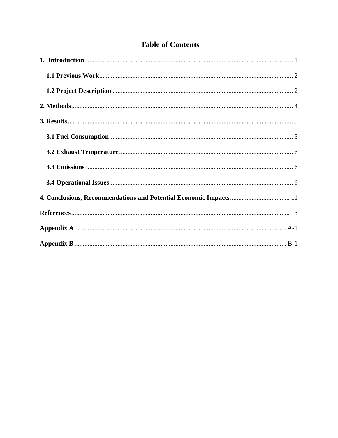### **Table of Contents**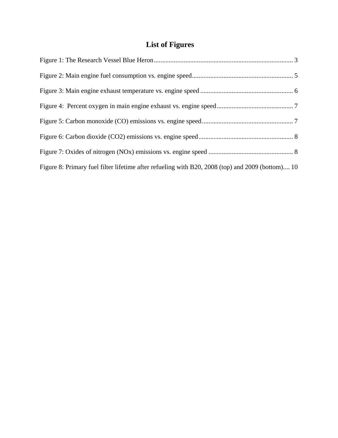## **List of Figures**

| Figure 8: Primary fuel filter lifetime after refueling with B20, 2008 (top) and 2009 (bottom) 10 |  |
|--------------------------------------------------------------------------------------------------|--|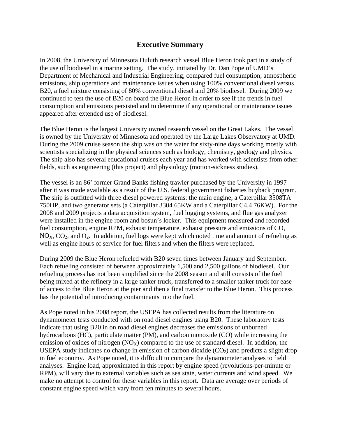#### **Executive Summary**

In 2008, the University of Minnesota Duluth research vessel Blue Heron took part in a study of the use of biodiesel in a marine setting. The study, initiated by Dr. Dan Pope of UMD's Department of Mechanical and Industrial Engineering, compared fuel consumption, atmospheric emissions, ship operations and maintenance issues when using 100% conventional diesel versus B20, a fuel mixture consisting of 80% conventional diesel and 20% biodiesel. During 2009 we continued to test the use of B20 on board the Blue Heron in order to see if the trends in fuel consumption and emissions persisted and to determine if any operational or maintenance issues appeared after extended use of biodiesel.

The Blue Heron is the largest University owned research vessel on the Great Lakes. The vessel is owned by the University of Minnesota and operated by the Large Lakes Observatory at UMD. During the 2009 cruise season the ship was on the water for sixty-nine days working mostly with scientists specializing in the physical sciences such as biology, chemistry, geology and physics. The ship also has several educational cruises each year and has worked with scientists from other fields, such as engineering (this project) and physiology (motion-sickness studies).

The vessel is an 86' former Grand Banks fishing trawler purchased by the University in 1997 after it was made available as a result of the U.S. federal government fisheries buyback program. The ship is outfitted with three diesel powered systems: the main engine, a Caterpillar 3508TA 750HP, and two generator sets (a Caterpillar 3304 65KW and a Caterpillar C4.4 76KW). For the 2008 and 2009 projects a data acquisition system, fuel logging systems, and flue gas analyzer were installed in the engine room and bosun's locker. This equipment measured and recorded fuel consumption, engine RPM, exhaust temperature, exhaust pressure and emissions of CO,  $NO<sub>X</sub>, CO<sub>2</sub>, and O<sub>2</sub>.$  In addition, fuel logs were kept which noted time and amount of refueling as well as engine hours of service for fuel filters and when the filters were replaced.

During 2009 the Blue Heron refueled with B20 seven times between January and September. Each refueling consisted of between approximately 1,500 and 2,500 gallons of biodiesel. Our refueling process has not been simplified since the 2008 season and still consists of the fuel being mixed at the refinery in a large tanker truck, transferred to a smaller tanker truck for ease of access to the Blue Heron at the pier and then a final transfer to the Blue Heron. This process has the potential of introducing contaminants into the fuel.

As Pope noted in his 2008 report, the USEPA has collected results from the literature on dynamometer tests conducted with on road diesel engines using B20. These laboratory tests indicate that using B20 in on road diesel engines decreases the emissions of unburned hydrocarbons (HC), particulate matter (PM), and carbon monoxide (CO) while increasing the emission of oxides of nitrogen  $(NO_X)$  compared to the use of standard diesel. In addition, the USEPA study indicates no change in emission of carbon dioxide  $(CO<sub>2</sub>)$  and predicts a slight drop in fuel economy. As Pope noted, it is difficult to compare the dynamometer analyses to field analyses. Engine load, approximated in this report by engine speed (revolutions-per-minute or RPM), will vary due to external variables such as sea state, water currents and wind speed. We make no attempt to control for these variables in this report. Data are average over periods of constant engine speed which vary from ten minutes to several hours.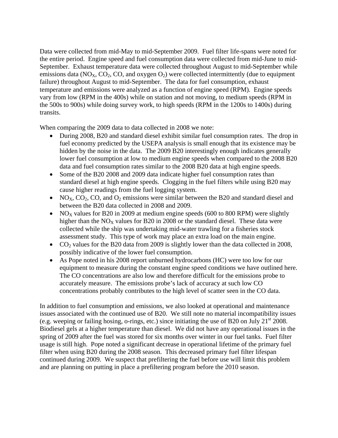Data were collected from mid-May to mid-September 2009. Fuel filter life-spans were noted for the entire period. Engine speed and fuel consumption data were collected from mid-June to mid-September. Exhaust temperature data were collected throughout August to mid-September while emissions data ( $NO<sub>X</sub>$ ,  $CO<sub>2</sub>$ ,  $CO<sub>3</sub>$ , and oxygen  $O<sub>2</sub>$ ) were collected intermittently (due to equipment failure) throughout August to mid-September. The data for fuel consumption, exhaust temperature and emissions were analyzed as a function of engine speed (RPM). Engine speeds vary from low (RPM in the 400s) while on station and not moving, to medium speeds (RPM in the 500s to 900s) while doing survey work, to high speeds (RPM in the 1200s to 1400s) during transits.

When comparing the 2009 data to data collected in 2008 we note:

- During 2008, B20 and standard diesel exhibit similar fuel consumption rates. The drop in fuel economy predicted by the USEPA analysis is small enough that its existence may be hidden by the noise in the data. The 2009 B20 interestingly enough indicates generally lower fuel consumption at low to medium engine speeds when compared to the 2008 B20 data and fuel consumption rates similar to the 2008 B20 data at high engine speeds.
- Some of the B20 2008 and 2009 data indicate higher fuel consumption rates than standard diesel at high engine speeds. Clogging in the fuel filters while using B20 may cause higher readings from the fuel logging system.
- NO<sub>X</sub>, CO<sub>2</sub>, CO, and O<sub>2</sub> emissions were similar between the B20 and standard diesel and between the B20 data collected in 2008 and 2009.
- NO<sub>x</sub> values for B20 in 2009 at medium engine speeds (600 to 800 RPM) were slightly higher than the  $NO<sub>X</sub>$  values for B20 in 2008 or the standard diesel. These data were collected while the ship was undertaking mid-water trawling for a fisheries stock assessment study. This type of work may place an extra load on the main engine.
- CO<sub>2</sub> values for the B20 data from 2009 is slightly lower than the data collected in 2008, possibly indicative of the lower fuel consumption.
- As Pope noted in his 2008 report unburned hydrocarbons (HC) were too low for our equipment to measure during the constant engine speed conditions we have outlined here. The CO concentrations are also low and therefore difficult for the emissions probe to accurately measure. The emissions probe's lack of accuracy at such low CO concentrations probably contributes to the high level of scatter seen in the CO data.

In addition to fuel consumption and emissions, we also looked at operational and maintenance issues associated with the continued use of B20. We still note no material incompatibility issues (e.g. weeping or failing hosing, o-rings, etc.) since initiating the use of B20 on July  $21<sup>st</sup> 2008$ . Biodiesel gels at a higher temperature than diesel. We did not have any operational issues in the spring of 2009 after the fuel was stored for six months over winter in our fuel tanks. Fuel filter usage is still high. Pope noted a significant decrease in operational lifetime of the primary fuel filter when using B20 during the 2008 season. This decreased primary fuel filter lifespan continued during 2009. We suspect that prefiltering the fuel before use will limit this problem and are planning on putting in place a prefiltering program before the 2010 season.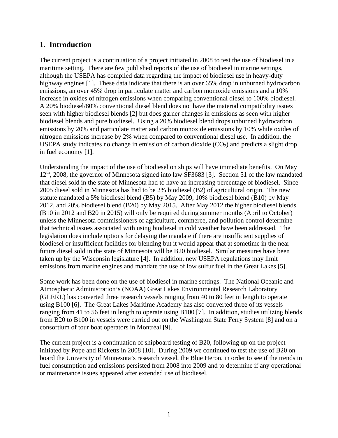#### **1. Introduction**

The current project is a continuation of a project initiated in 2008 to test the use of biodiesel in a maritime setting. There are few published reports of the use of biodiesel in marine settings, although the USEPA has compiled data regarding the impact of biodiesel use in heavy-duty highway engines [1]. These data indicate that there is an over 65% drop in unburned hydrocarbon emissions, an over 45% drop in particulate matter and carbon monoxide emissions and a 10% increase in oxides of nitrogen emissions when comparing conventional diesel to 100% biodiesel. A 20% biodiesel/80% conventional diesel blend does not have the material compatibility issues seen with higher biodiesel blends [2] but does garner changes in emissions as seen with higher biodiesel blends and pure biodiesel. Using a 20% biodiesel blend drops unburned hydrocarbon emissions by 20% and particulate matter and carbon monoxide emissions by 10% while oxides of nitrogen emissions increase by 2% when compared to conventional diesel use. In addition, the USEPA study indicates no change in emission of carbon dioxide  $(CO<sub>2</sub>)$  and predicts a slight drop in fuel economy [1].

Understanding the impact of the use of biodiesel on ships will have immediate benefits. On May 12<sup>th</sup>, 2008, the governor of Minnesota signed into law SF3683 [3]. Section 51 of the law mandated that diesel sold in the state of Minnesota had to have an increasing percentage of biodiesel. Since 2005 diesel sold in Minnesota has had to be 2% biodiesel (B2) of agricultural origin. The new statute mandated a 5% biodiesel blend (B5) by May 2009, 10% biodiesel blend (B10) by May 2012, and 20% biodiesel blend (B20) by May 2015. After May 2012 the higher biodiesel blends (B10 in 2012 and B20 in 2015) will only be required during summer months (April to October) unless the Minnesota commissioners of agriculture, commerce, and pollution control determine that technical issues associated with using biodiesel in cold weather have been addressed. The legislation does include options for delaying the mandate if there are insufficient supplies of biodiesel or insufficient facilities for blending but it would appear that at sometime in the near future diesel sold in the state of Minnesota will be B20 biodiesel. Similar measures have been taken up by the Wisconsin legislature [4]. In addition, new USEPA regulations may limit emissions from marine engines and mandate the use of low sulfur fuel in the Great Lakes [5].

Some work has been done on the use of biodiesel in marine settings. The National Oceanic and Atmospheric Administration's (NOAA) Great Lakes Environmental Research Laboratory (GLERL) has converted three research vessels ranging from 40 to 80 feet in length to operate using B100 [6]. The Great Lakes Maritime Academy has also converted three of its vessels ranging from 41 to 56 feet in length to operate using B100 [7]. In addition, studies utilizing blends from B20 to B100 in vessels were carried out on the Washington State Ferry System [8] and on a consortium of tour boat operators in Montréal [9].

The current project is a continuation of shipboard testing of B20, following up on the project initiated by Pope and Ricketts in 2008 [10]. During 2009 we continued to test the use of B20 on board the University of Minnesota's research vessel, the Blue Heron, in order to see if the trends in fuel consumption and emissions persisted from 2008 into 2009 and to determine if any operational or maintenance issues appeared after extended use of biodiesel.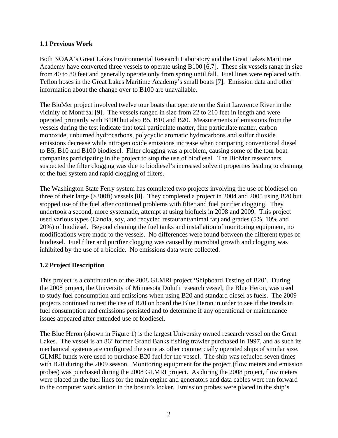#### **1.1 Previous Work**

Both NOAA's Great Lakes Environmental Research Laboratory and the Great Lakes Maritime Academy have converted three vessels to operate using B100 [6,7]. These six vessels range in size from 40 to 80 feet and generally operate only from spring until fall. Fuel lines were replaced with Teflon hoses in the Great Lakes Maritime Academy's small boats [7]. Emission data and other information about the change over to B100 are unavailable.

The BioMer project involved twelve tour boats that operate on the Saint Lawrence River in the vicinity of Montréal [9]. The vessels ranged in size from 22 to 210 feet in length and were operated primarily with B100 but also B5, B10 and B20. Measurements of emissions from the vessels during the test indicate that total particulate matter, fine particulate matter, carbon monoxide, unburned hydrocarbons, polycyclic aromatic hydrocarbons and sulfur dioxide emissions decrease while nitrogen oxide emissions increase when comparing conventional diesel to B5, B10 and B100 biodiesel. Filter clogging was a problem, causing some of the tour boat companies participating in the project to stop the use of biodiesel. The BioMer researchers suspected the filter clogging was due to biodiesel's increased solvent properties leading to cleaning of the fuel system and rapid clogging of filters.

The Washington State Ferry system has completed two projects involving the use of biodiesel on three of their large (>300ft) vessels [8]. They completed a project in 2004 and 2005 using B20 but stopped use of the fuel after continued problems with filter and fuel purifier clogging. They undertook a second, more systematic, attempt at using biofuels in 2008 and 2009. This project used various types (Canola, soy, and recycled restaurant/animal fat) and grades (5%, 10% and 20%) of biodiesel. Beyond cleaning the fuel tanks and installation of monitoring equipment, no modifications were made to the vessels. No differences were found between the different types of biodiesel. Fuel filter and purifier clogging was caused by microbial growth and clogging was inhibited by the use of a biocide. No emissions data were collected.

#### **1.2 Project Description**

This project is a continuation of the 2008 GLMRI project 'Shipboard Testing of B20'. During the 2008 project, the University of Minnesota Duluth research vessel, the Blue Heron, was used to study fuel consumption and emissions when using B20 and standard diesel as fuels. The 2009 projects continued to test the use of B20 on board the Blue Heron in order to see if the trends in fuel consumption and emissions persisted and to determine if any operational or maintenance issues appeared after extended use of biodiesel.

The Blue Heron (shown in Figure 1) is the largest University owned research vessel on the Great Lakes. The vessel is an 86' former Grand Banks fishing trawler purchased in 1997, and as such its mechanical systems are configured the same as other commercially operated ships of similar size. GLMRI funds were used to purchase B20 fuel for the vessel. The ship was refueled seven times with B20 during the 2009 season. Monitoring equipment for the project (flow meters and emission probes) was purchased during the 2008 GLMRI project. As during the 2008 project, flow meters were placed in the fuel lines for the main engine and generators and data cables were run forward to the computer work station in the bosun's locker. Emission probes were placed in the ship's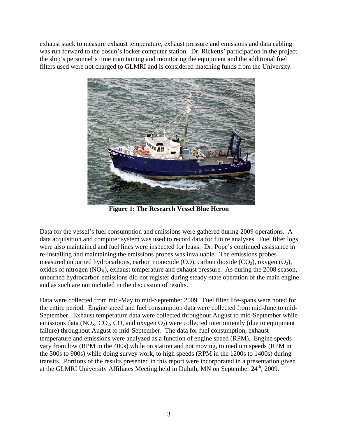exhaust stack to measure exhaust temperature, exhaust pressure and emissions and data cabling was run forward to the bosun's locker computer station. Dr. Ricketts' participation in the project, the ship's personnel's time maintaining and monitoring the equipment and the additional fuel filters used were not charged to GLMRI and is considered matching funds from the University.



**Figure 1: The Research Vessel Blue Heron**

Data for the vessel's fuel consumption and emissions were gathered during 2009 operations. A data acquisition and computer system was used to record data for future analyses. Fuel filter logs were also maintained and fuel lines were inspected for leaks. Dr. Pope's continued assistance in re-installing and maintaining the emissions probes was invaluable. The emissions probes measured unburned hydrocarbons, carbon monoxide (CO), carbon dioxide (CO<sub>2</sub>), oxygen  $(O_2)$ , oxides of nitrogen  $(NO_x)$ , exhaust temperature and exhaust pressure. As during the 2008 season, unburned hydrocarbon emissions did not register during steady-state operation of the main engine and as such are not included in the discussion of results.

Data were collected from mid-May to mid-September 2009. Fuel filter life-spans were noted for the entire period. Engine speed and fuel consumption data were collected from mid-June to mid-September. Exhaust temperature data were collected throughout August to mid-September while emissions data ( $NO<sub>X</sub>$ ,  $CO<sub>2</sub>$ ,  $CO<sub>3</sub>$ , and oxygen  $O<sub>2</sub>$ ) were collected intermittently (due to equipment failure) throughout August to mid-September. The data for fuel consumption, exhaust temperature and emissions were analyzed as a function of engine speed (RPM). Engine speeds vary from low (RPM in the 400s) while on station and not moving, to medium speeds (RPM in the 500s to 900s) while doing survey work, to high speeds (RPM in the 1200s to 1400s) during transits. Portions of the results presented in this report were incorporated in a presentation given at the GLMRI University Affiliates Meeting held in Duluth, MN on September 24<sup>th</sup>, 2009.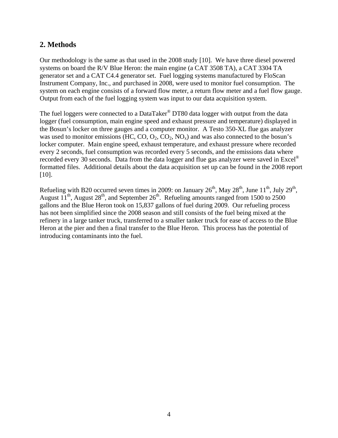#### **2. Methods**

Our methodology is the same as that used in the 2008 study [10]. We have three diesel powered systems on board the R/V Blue Heron: the main engine (a CAT 3508 TA), a CAT 3304 TA generator set and a CAT C4.4 generator set. Fuel logging systems manufactured by FloScan Instrument Company, Inc., and purchased in 2008, were used to monitor fuel consumption. The system on each engine consists of a forward flow meter, a return flow meter and a fuel flow gauge. Output from each of the fuel logging system was input to our data acquisition system.

The fuel loggers were connected to a DataTaker<sup>®</sup> DT80 data logger with output from the data logger (fuel consumption, main engine speed and exhaust pressure and temperature) displayed in the Bosun's locker on three gauges and a computer monitor. A Testo 350-XL flue gas analyzer was used to monitor emissions (HC, CO,  $O_2$ ,  $CO_2$ ,  $NO_x$ ) and was also connected to the bosun's locker computer. Main engine speed, exhaust temperature, and exhaust pressure where recorded every 2 seconds, fuel consumption was recorded every 5 seconds, and the emissions data where recorded every 30 seconds. Data from the data logger and flue gas analyzer were saved in Excel<sup>®</sup> formatted files. Additional details about the data acquisition set up can be found in the 2008 report [10].

Refueling with B20 occurred seven times in 2009: on January  $26<sup>th</sup>$ , May  $28<sup>th</sup>$ , June  $11<sup>th</sup>$ , July  $29<sup>th</sup>$ , August  $11^{th}$ , August  $28^{th}$ , and September  $26^{th}$ . Refueling amounts ranged from 1500 to 2500 gallons and the Blue Heron took on 15,837 gallons of fuel during 2009. Our refueling process has not been simplified since the 2008 season and still consists of the fuel being mixed at the refinery in a large tanker truck, transferred to a smaller tanker truck for ease of access to the Blue Heron at the pier and then a final transfer to the Blue Heron. This process has the potential of introducing contaminants into the fuel.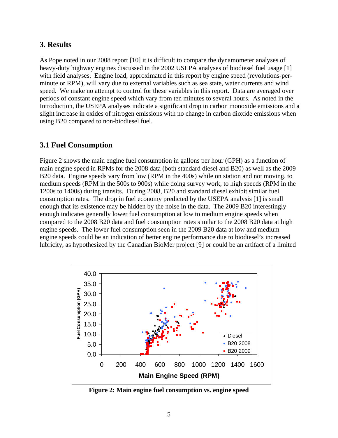#### **3. Results**

As Pope noted in our 2008 report [10] it is difficult to compare the dynamometer analyses of heavy-duty highway engines discussed in the 2002 USEPA analyses of biodiesel fuel usage [1] with field analyses. Engine load, approximated in this report by engine speed (revolutions-perminute or RPM), will vary due to external variables such as sea state, water currents and wind speed. We make no attempt to control for these variables in this report. Data are averaged over periods of constant engine speed which vary from ten minutes to several hours. As noted in the Introduction, the USEPA analyses indicate a significant drop in carbon monoxide emissions and a slight increase in oxides of nitrogen emissions with no change in carbon dioxide emissions when using B20 compared to non-biodiesel fuel.

#### **3.1 Fuel Consumption**

Figure 2 shows the main engine fuel consumption in gallons per hour (GPH) as a function of main engine speed in RPMs for the 2008 data (both standard diesel and B20) as well as the 2009 B20 data. Engine speeds vary from low (RPM in the 400s) while on station and not moving, to medium speeds (RPM in the 500s to 900s) while doing survey work, to high speeds (RPM in the 1200s to 1400s) during transits. During 2008, B20 and standard diesel exhibit similar fuel consumption rates. The drop in fuel economy predicted by the USEPA analysis [1] is small enough that its existence may be hidden by the noise in the data. The 2009 B20 interestingly enough indicates generally lower fuel consumption at low to medium engine speeds when compared to the 2008 B20 data and fuel consumption rates similar to the 2008 B20 data at high engine speeds. The lower fuel consumption seen in the 2009 B20 data at low and medium engine speeds could be an indication of better engine performance due to biodiesel's increased lubricity, as hypothesized by the Canadian BioMer project [9] or could be an artifact of a limited



**Figure 2: Main engine fuel consumption vs. engine speed**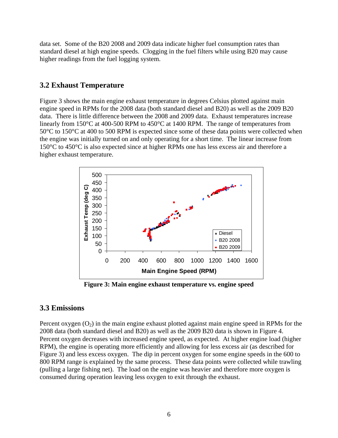data set. Some of the B20 2008 and 2009 data indicate higher fuel consumption rates than standard diesel at high engine speeds. Clogging in the fuel filters while using B20 may cause higher readings from the fuel logging system.

#### **3.2 Exhaust Temperature**

Figure 3 shows the main engine exhaust temperature in degrees Celsius plotted against main engine speed in RPMs for the 2008 data (both standard diesel and B20) as well as the 2009 B20 data. There is little difference between the 2008 and 2009 data. Exhaust temperatures increase linearly from 150°C at 400-500 RPM to 450°C at 1400 RPM. The range of temperatures from 50°C to 150°C at 400 to 500 RPM is expected since some of these data points were collected when the engine was initially turned on and only operating for a short time. The linear increase from 150°C to 450°C is also expected since at higher RPMs one has less excess air and therefore a higher exhaust temperature.



**Figure 3: Main engine exhaust temperature vs. engine speed** 

#### **3.3 Emissions**

Percent oxygen  $(O_2)$  in the main engine exhaust plotted against main engine speed in RPMs for the 2008 data (both standard diesel and B20) as well as the 2009 B20 data is shown in Figure 4. Percent oxygen decreases with increased engine speed, as expected. At higher engine load (higher RPM), the engine is operating more efficiently and allowing for less excess air (as described for Figure 3) and less excess oxygen. The dip in percent oxygen for some engine speeds in the 600 to 800 RPM range is explained by the same process. These data points were collected while trawling (pulling a large fishing net). The load on the engine was heavier and therefore more oxygen is consumed during operation leaving less oxygen to exit through the exhaust.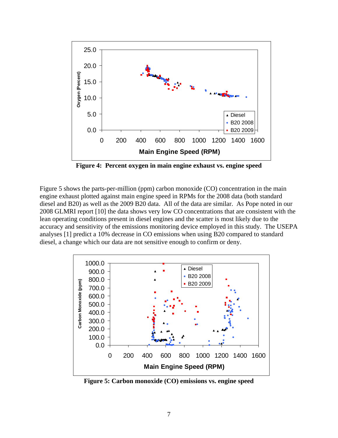

**Figure 4: Percent oxygen in main engine exhaust vs. engine speed** 

Figure 5 shows the parts-per-million (ppm) carbon monoxide (CO) concentration in the main engine exhaust plotted against main engine speed in RPMs for the 2008 data (both standard diesel and B20) as well as the 2009 B20 data. All of the data are similar. As Pope noted in our 2008 GLMRI report [10] the data shows very low CO concentrations that are consistent with the lean operating conditions present in diesel engines and the scatter is most likely due to the accuracy and sensitivity of the emissions monitoring device employed in this study. The USEPA analyses [1] predict a 10% decrease in CO emissions when using B20 compared to standard diesel, a change which our data are not sensitive enough to confirm or deny.



**Figure 5: Carbon monoxide (CO) emissions vs. engine speed**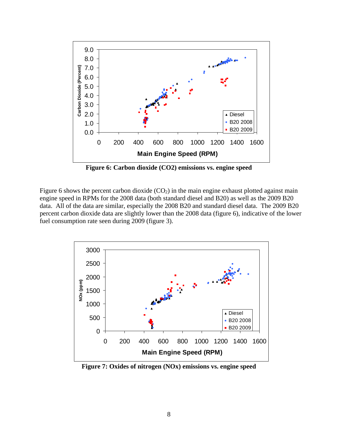

**Figure 6: Carbon dioxide (CO2) emissions vs. engine speed** 

Figure 6 shows the percent carbon dioxide  $(CO<sub>2</sub>)$  in the main engine exhaust plotted against main engine speed in RPMs for the 2008 data (both standard diesel and B20) as well as the 2009 B20 data. All of the data are similar, especially the 2008 B20 and standard diesel data. The 2009 B20 percent carbon dioxide data are slightly lower than the 2008 data (figure 6), indicative of the lower fuel consumption rate seen during 2009 (figure 3).



**Figure 7: Oxides of nitrogen (NOx) emissions vs. engine speed**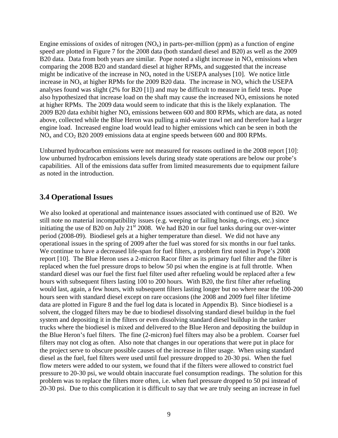Engine emissions of oxides of nitrogen  $(NO_x)$  in parts-per-million (ppm) as a function of engine speed are plotted in Figure 7 for the 2008 data (both standard diesel and B20) as well as the 2009 B20 data. Data from both years are similar. Pope noted a slight increase in  $NO<sub>x</sub>$  emissions when comparing the 2008 B20 and standard diesel at higher RPMs, and suggested that the increase might be indicative of the increase in  $NO<sub>x</sub>$  noted in the USEPA analyses [10]. We notice little increase in  $NO<sub>x</sub>$  at higher RPMs for the 2009 B20 data. The increase in  $NO<sub>x</sub>$  which the USEPA analyses found was slight (2% for B20 [1]) and may be difficult to measure in field tests. Pope also hypothesized that increase load on the shaft may cause the increased  $NO<sub>x</sub>$  emissions he noted at higher RPMs. The 2009 data would seem to indicate that this is the likely explanation. The 2009 B20 data exhibit higher  $NO<sub>x</sub>$  emissions between 600 and 800 RPMs, which are data, as noted above, collected while the Blue Heron was pulling a mid-water trawl net and therefore had a larger engine load. Increased engine load would lead to higher emissions which can be seen in both the  $NO<sub>x</sub>$  and  $CO<sub>2</sub> B20 2009$  emissions data at engine speeds between 600 and 800 RPMs.

Unburned hydrocarbon emissions were not measured for reasons outlined in the 2008 report [10]: low unburned hydrocarbon emissions levels during steady state operations are below our probe's capabilities. All of the emissions data suffer from limited measurements due to equipment failure as noted in the introduction.

#### **3.4 Operational Issues**

We also looked at operational and maintenance issues associated with continued use of B20. We still note no material incompatibility issues (e.g. weeping or failing hosing, o-rings, etc.) since initiating the use of B20 on July  $21<sup>st</sup> 2008$ . We had B20 in our fuel tanks during our over-winter period (2008-09). Biodiesel gels at a higher temperature than diesel. We did not have any operational issues in the spring of 2009 after the fuel was stored for six months in our fuel tanks. We continue to have a decreased life-span for fuel filters, a problem first noted in Pope's 2008 report [10]. The Blue Heron uses a 2-micron Racor filter as its primary fuel filter and the filter is replaced when the fuel pressure drops to below 50 psi when the engine is at full throttle. When standard diesel was our fuel the first fuel filter used after refueling would be replaced after a few hours with subsequent filters lasting 100 to 200 hours. With B20, the first filter after refueling would last, again, a few hours, with subsequent filters lasting longer but no where near the 100-200 hours seen with standard diesel except on rare occasions (the 2008 and 2009 fuel filter lifetime data are plotted in Figure 8 and the fuel log data is located in Appendix B). Since biodiesel is a solvent, the clogged filters may be due to biodiesel dissolving standard diesel buildup in the fuel system and depositing it in the filters or even dissolving standard diesel buildup in the tanker trucks where the biodiesel is mixed and delivered to the Blue Heron and depositing the buildup in the Blue Heron's fuel filters. The fine (2-micron) fuel filters may also be a problem. Coarser fuel filters may not clog as often. Also note that changes in our operations that were put in place for the project serve to obscure possible causes of the increase in filter usage. When using standard diesel as the fuel, fuel filters were used until fuel pressure dropped to 20-30 psi. When the fuel flow meters were added to our system, we found that if the filters were allowed to constrict fuel pressure to 20-30 psi, we would obtain inaccurate fuel consumption readings. The solution for this problem was to replace the filters more often, i.e. when fuel pressure dropped to 50 psi instead of 20-30 psi. Due to this complication it is difficult to say that we are truly seeing an increase in fuel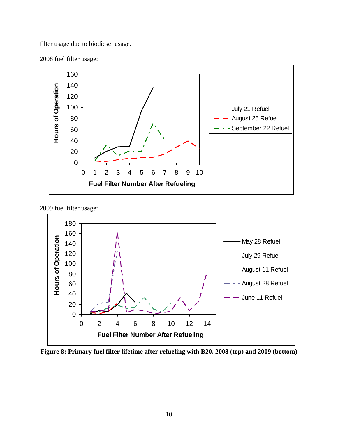filter usage due to biodiesel usage.





2009 fuel filter usage:



**Figure 8: Primary fuel filter lifetime after refueling with B20, 2008 (top) and 2009 (bottom)**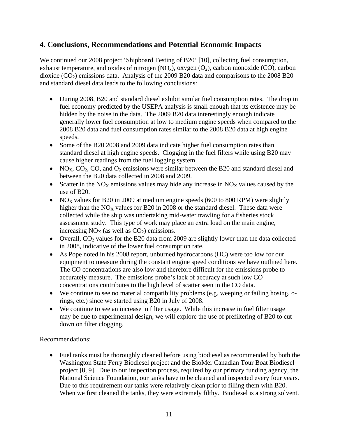#### **4. Conclusions, Recommendations and Potential Economic Impacts**

We continued our 2008 project 'Shipboard Testing of B20' [10], collecting fuel consumption, exhaust temperature, and oxides of nitrogen  $(NO_x)$ , oxygen  $(O_2)$ , carbon monoxide  $(CO)$ , carbon dioxide  $(CO_2)$  emissions data. Analysis of the 2009 B20 data and comparisons to the 2008 B20 and standard diesel data leads to the following conclusions:

- During 2008, B20 and standard diesel exhibit similar fuel consumption rates. The drop in fuel economy predicted by the USEPA analysis is small enough that its existence may be hidden by the noise in the data. The 2009 B20 data interestingly enough indicate generally lower fuel consumption at low to medium engine speeds when compared to the 2008 B20 data and fuel consumption rates similar to the 2008 B20 data at high engine speeds.
- Some of the B20 2008 and 2009 data indicate higher fuel consumption rates than standard diesel at high engine speeds. Clogging in the fuel filters while using B20 may cause higher readings from the fuel logging system.
- NO<sub>X</sub>, CO<sub>2</sub>, CO, and O<sub>2</sub> emissions were similar between the B20 and standard diesel and between the B20 data collected in 2008 and 2009.
- Scatter in the  $NO<sub>X</sub>$  emissions values may hide any increase in  $NO<sub>X</sub>$  values caused by the use of B20.
- NO<sub>X</sub> values for B20 in 2009 at medium engine speeds (600 to 800 RPM) were slightly higher than the  $NO<sub>x</sub>$  values for B20 in 2008 or the standard diesel. These data were collected while the ship was undertaking mid-water trawling for a fisheries stock assessment study. This type of work may place an extra load on the main engine, increasing  $NO<sub>X</sub>$  (as well as  $CO<sub>2</sub>$ ) emissions.
- Overall,  $CO<sub>2</sub>$  values for the B20 data from 2009 are slightly lower than the data collected in 2008, indicative of the lower fuel consumption rate.
- As Pope noted in his 2008 report, unburned hydrocarbons (HC) were too low for our equipment to measure during the constant engine speed conditions we have outlined here. The CO concentrations are also low and therefore difficult for the emissions probe to accurately measure. The emissions probe's lack of accuracy at such low CO concentrations contributes to the high level of scatter seen in the CO data.
- We continue to see no material compatibility problems (e.g. weeping or failing hosing, orings, etc.) since we started using B20 in July of 2008.
- We continue to see an increase in filter usage. While this increase in fuel filter usage may be due to experimental design, we will explore the use of prefiltering of B20 to cut down on filter clogging.

Recommendations:

• Fuel tanks must be thoroughly cleaned before using biodiesel as recommended by both the Washington State Ferry Biodiesel project and the BioMer Canadian Tour Boat Biodiesel project [8, 9]. Due to our inspection process, required by our primary funding agency, the National Science Foundation, our tanks have to be cleaned and inspected every four years. Due to this requirement our tanks were relatively clean prior to filling them with B20. When we first cleaned the tanks, they were extremely filthy. Biodiesel is a strong solvent.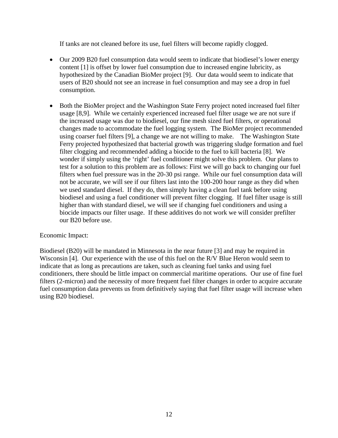If tanks are not cleaned before its use, fuel filters will become rapidly clogged.

- Our 2009 B20 fuel consumption data would seem to indicate that biodiesel's lower energy content [1] is offset by lower fuel consumption due to increased engine lubricity, as hypothesized by the Canadian BioMer project [9]. Our data would seem to indicate that users of B20 should not see an increase in fuel consumption and may see a drop in fuel consumption.
- Both the BioMer project and the Washington State Ferry project noted increased fuel filter usage [8,9]. While we certainly experienced increased fuel filter usage we are not sure if the increased usage was due to biodiesel, our fine mesh sized fuel filters, or operational changes made to accommodate the fuel logging system. The BioMer project recommended using coarser fuel filters [9], a change we are not willing to make. The Washington State Ferry projected hypothesized that bacterial growth was triggering sludge formation and fuel filter clogging and recommended adding a biocide to the fuel to kill bacteria [8]. We wonder if simply using the 'right' fuel conditioner might solve this problem. Our plans to test for a solution to this problem are as follows: First we will go back to changing our fuel filters when fuel pressure was in the 20-30 psi range. While our fuel consumption data will not be accurate, we will see if our filters last into the 100-200 hour range as they did when we used standard diesel. If they do, then simply having a clean fuel tank before using biodiesel and using a fuel conditioner will prevent filter clogging. If fuel filter usage is still higher than with standard diesel, we will see if changing fuel conditioners and using a biocide impacts our filter usage. If these additives do not work we will consider prefilter our B20 before use.

#### Economic Impact:

Biodiesel (B20) will be mandated in Minnesota in the near future [3] and may be required in Wisconsin [4]. Our experience with the use of this fuel on the R/V Blue Heron would seem to indicate that as long as precautions are taken, such as cleaning fuel tanks and using fuel conditioners, there should be little impact on commercial maritime operations. Our use of fine fuel filters (2-micron) and the necessity of more frequent fuel filter changes in order to acquire accurate fuel consumption data prevents us from definitively saying that fuel filter usage will increase when using B20 biodiesel.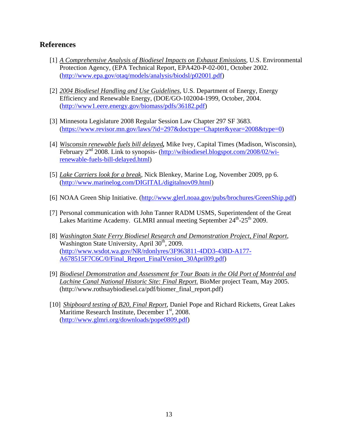#### **References**

- [1] *A Comprehensive Analysis of Biodiesel Impacts on Exhaust Emissions*, U.S. Environmental Protection Agency, (EPA Technical Report, EPA420-P-02-001, October 2002. (http://www.epa.gov/otaq/models/analysis/biodsl/p02001.pdf)
- [2] *2004 Biodiesel Handling and Use Guidelines*, U.S. Department of Energy, Energy Efficiency and Renewable Energy, (DOE/GO-102004-1999, October, 2004. (http://www1.eere.energy.gov/biomass/pdfs/36182.pdf)
- [3] Minnesota Legislature 2008 Regular Session Law Chapter 297 SF 3683. (https://www.revisor.mn.gov/laws/?id=297&doctype=Chapter&year=2008&type=0)
- [4] *Wisconsin renewable fuels bill delayed,* Mike Ivey, Capital Times (Madison, Wisconsin), February 2nd 2008. Link to synopsis- (http://wibiodiesel.blogspot.com/2008/02/wirenewable-fuels-bill-delayed.html)
- [5] *Lake Carriers look for a break*, Nick Blenkey, Marine Log, November 2009, pp 6. (http://www.marinelog.com/DIGITAL/digitalnov09.html)
- [6] NOAA Green Ship Initiative. (http://www.glerl.noaa.gov/pubs/brochures/GreenShip.pdf)
- [7] Personal communication with John Tanner RADM USMS, Superintendent of the Great Lakes Maritime Academy. GLMRI annual meeting September 24<sup>th</sup>-25<sup>th</sup> 2009.
- [8] *Washington State Ferry Biodiesel Research and Demonstration Project, Final Report*, Washington State University, April  $30<sup>th</sup>$ , 2009. (http://www.wsdot.wa.gov/NR/rdonlyres/3F963811-4DD3-438D-A177- A678515F7C6C/0/Final\_Report\_FinalVersion\_30April09.pdf)
- [9] *Biodiesel Demonstration and Assessment for Tour Boats in the Old Port of Montréal and Lachine Canal National Historic Site: Final Report.* BioMer project Team, May 2005. (http://www.rothsaybiodiesel.ca/pdf/biomer\_final\_report.pdf)
- [10] *Shipboard testing of B20, Final Report*, Daniel Pope and Richard Ricketts, Great Lakes Maritime Research Institute, December  $1<sup>st</sup>$ , 2008. (http://www.glmri.org/downloads/pope0809.pdf)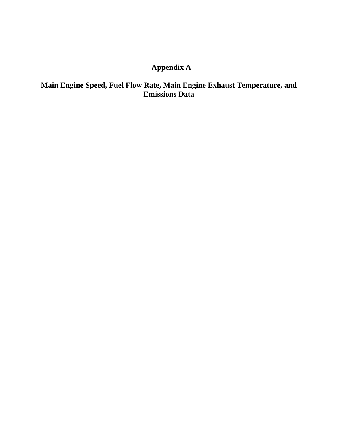## **Appendix A**

#### **Main Engine Speed, Fuel Flow Rate, Main Engine Exhaust Temperature, and Emissions Data**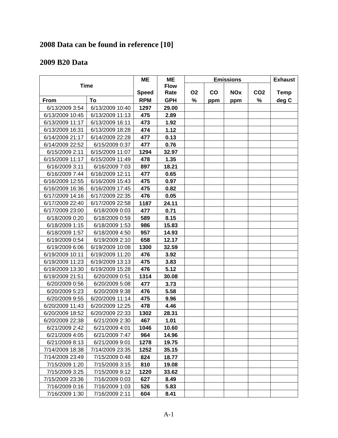## **2008 Data can be found in reference [10]**

### **2009 B20 Data**

|                 |                 | <b>ME</b>    | <b>ME</b>   | <b>Emissions</b> |               |            |                 | <b>Exhaust</b> |
|-----------------|-----------------|--------------|-------------|------------------|---------------|------------|-----------------|----------------|
|                 | <b>Time</b>     |              | <b>Flow</b> |                  |               |            |                 |                |
|                 |                 | <b>Speed</b> | Rate        | <b>O2</b>        | $\mathbf{co}$ | <b>NOx</b> | CO <sub>2</sub> | <b>Temp</b>    |
| <b>From</b>     | To              | <b>RPM</b>   | <b>GPH</b>  | %                | ppm           | ppm        | %               | deg C          |
| 6/13/2009 3:54  | 6/13/2009 10:40 | 1297         | 29.00       |                  |               |            |                 |                |
| 6/13/2009 10:45 | 6/13/2009 11:13 | 475          | 2.89        |                  |               |            |                 |                |
| 6/13/2009 11:17 | 6/13/2009 16:11 | 473          | 1.92        |                  |               |            |                 |                |
| 6/13/2009 16:31 | 6/13/2009 18:28 | 474          | 1.12        |                  |               |            |                 |                |
| 6/14/2009 21:17 | 6/14/2009 22:28 | 477          | 0.13        |                  |               |            |                 |                |
| 6/14/2009 22:52 | 6/15/2009 0:37  | 477          | 0.76        |                  |               |            |                 |                |
| 6/15/2009 2:11  | 6/15/2009 11:07 | 1294         | 32.97       |                  |               |            |                 |                |
| 6/15/2009 11:17 | 6/15/2009 11:49 | 478          | 1.35        |                  |               |            |                 |                |
| 6/16/2009 3:11  | 6/16/2009 7:03  | 897          | 18.21       |                  |               |            |                 |                |
| 6/16/2009 7:44  | 6/16/2009 12:11 | 477          | 0.65        |                  |               |            |                 |                |
| 6/16/2009 12:55 | 6/16/2009 15:43 | 475          | 0.97        |                  |               |            |                 |                |
| 6/16/2009 16:36 | 6/16/2009 17:45 | 475          | 0.82        |                  |               |            |                 |                |
| 6/17/2009 14:16 | 6/17/2009 22:35 | 476          | 0.05        |                  |               |            |                 |                |
| 6/17/2009 22:40 | 6/17/2009 22:58 | 1187         | 24.11       |                  |               |            |                 |                |
| 6/17/2009 23:00 | 6/18/2009 0:03  | 477          | 0.71        |                  |               |            |                 |                |
| 6/18/2009 0:20  | 6/18/2009 0:59  | 589          | 8.15        |                  |               |            |                 |                |
| 6/18/2009 1:15  | 6/18/2009 1:53  | 986          | 15.83       |                  |               |            |                 |                |
| 6/18/2009 1:57  | 6/18/2009 4:50  | 957          | 14.93       |                  |               |            |                 |                |
| 6/19/2009 0:54  | 6/19/2009 2:10  | 658          | 12.17       |                  |               |            |                 |                |
| 6/19/2009 6:06  | 6/19/2009 10:08 | 1300         | 32.59       |                  |               |            |                 |                |
| 6/19/2009 10:11 | 6/19/2009 11:20 | 476          | 3.92        |                  |               |            |                 |                |
| 6/19/2009 11:23 | 6/19/2009 13:13 | 475          | 3.83        |                  |               |            |                 |                |
| 6/19/2009 13:30 | 6/19/2009 15:28 | 476          | 5.12        |                  |               |            |                 |                |
| 6/19/2009 21:51 | 6/20/2009 0:51  | 1314         | 30.08       |                  |               |            |                 |                |
| 6/20/2009 0:56  | 6/20/2009 5:08  | 477          | 3.73        |                  |               |            |                 |                |
| 6/20/2009 5:23  | 6/20/2009 9:38  | 476          | 5.58        |                  |               |            |                 |                |
| 6/20/2009 9:55  | 6/20/2009 11:14 | 475          | 9.96        |                  |               |            |                 |                |
| 6/20/2009 11:43 | 6/20/2009 12:25 | 478          | 4.46        |                  |               |            |                 |                |
| 6/20/2009 18:52 | 6/20/2009 22:33 | 1302         | 28.31       |                  |               |            |                 |                |
| 6/20/2009 22:38 | 6/21/2009 2:30  | 467          | 1.01        |                  |               |            |                 |                |
| 6/21/2009 2:42  | 6/21/2009 4:01  | 1046         | 10.60       |                  |               |            |                 |                |
| 6/21/2009 4:05  | 6/21/2009 7:47  | 964          | 14.96       |                  |               |            |                 |                |
| 6/21/2009 8:13  | 6/21/2009 9:01  | 1278         | 19.75       |                  |               |            |                 |                |
| 7/14/2009 18:38 | 7/14/2009 23:35 | 1252         | 35.15       |                  |               |            |                 |                |
| 7/14/2009 23:49 | 7/15/2009 0:48  | 824          | 18.77       |                  |               |            |                 |                |
| 7/15/2009 1:20  | 7/15/2009 3:15  | 810          | 19.08       |                  |               |            |                 |                |
| 7/15/2009 3:25  | 7/15/2009 9:12  | 1220         | 33.62       |                  |               |            |                 |                |
| 7/15/2009 23:36 | 7/16/2009 0:03  | 627          | 8.49        |                  |               |            |                 |                |
| 7/16/2009 0:16  | 7/16/2009 1:03  | 526          | 5.83        |                  |               |            |                 |                |
| 7/16/2009 1:30  | 7/16/2009 2:11  | 604          | 8.41        |                  |               |            |                 |                |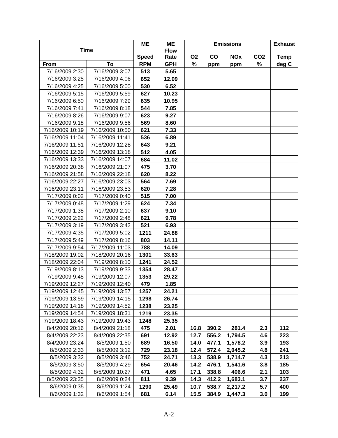|                 |                 | ME           | ME          | <b>Emissions</b> |       |            |                 | <b>Exhaust</b> |
|-----------------|-----------------|--------------|-------------|------------------|-------|------------|-----------------|----------------|
|                 | <b>Time</b>     |              | <b>Flow</b> |                  |       |            |                 |                |
|                 |                 | <b>Speed</b> | Rate        | <b>O2</b>        | CO    | <b>NOx</b> | CO <sub>2</sub> | <b>Temp</b>    |
| From            | To              | <b>RPM</b>   | <b>GPH</b>  | %                | ppm   | ppm        | %               | deg C          |
| 7/16/2009 2:30  | 7/16/2009 3:07  | 513          | 5.65        |                  |       |            |                 |                |
| 7/16/2009 3:25  | 7/16/2009 4:06  | 652          | 12.09       |                  |       |            |                 |                |
| 7/16/2009 4:25  | 7/16/2009 5:00  | 530          | 6.52        |                  |       |            |                 |                |
| 7/16/2009 5:15  | 7/16/2009 5:59  | 627          | 10.23       |                  |       |            |                 |                |
| 7/16/2009 6:50  | 7/16/2009 7:29  | 635          | 10.95       |                  |       |            |                 |                |
| 7/16/2009 7:41  | 7/16/2009 8:18  | 544          | 7.85        |                  |       |            |                 |                |
| 7/16/2009 8:26  | 7/16/2009 9:07  | 623          | 9.27        |                  |       |            |                 |                |
| 7/16/2009 9:18  | 7/16/2009 9:56  | 569          | 8.60        |                  |       |            |                 |                |
| 7/16/2009 10:19 | 7/16/2009 10:50 | 621          | 7.33        |                  |       |            |                 |                |
| 7/16/2009 11:04 | 7/16/2009 11:41 | 536          | 6.89        |                  |       |            |                 |                |
| 7/16/2009 11:51 | 7/16/2009 12:28 | 643          | 9.21        |                  |       |            |                 |                |
| 7/16/2009 12:39 | 7/16/2009 13:18 | 512          | 4.05        |                  |       |            |                 |                |
| 7/16/2009 13:33 | 7/16/2009 14:07 | 684          | 11.02       |                  |       |            |                 |                |
| 7/16/2009 20:38 | 7/16/2009 21:07 | 475          | 3.70        |                  |       |            |                 |                |
| 7/16/2009 21:58 | 7/16/2009 22:18 | 620          | 8.22        |                  |       |            |                 |                |
| 7/16/2009 22:27 | 7/16/2009 23:03 | 564          | 7.69        |                  |       |            |                 |                |
| 7/16/2009 23:11 | 7/16/2009 23:53 | 620          | 7.28        |                  |       |            |                 |                |
| 7/17/2009 0:02  | 7/17/2009 0:40  | 515          | 7.00        |                  |       |            |                 |                |
| 7/17/2009 0:48  | 7/17/2009 1:29  | 624          | 7.34        |                  |       |            |                 |                |
| 7/17/2009 1:38  | 7/17/2009 2:10  | 637          | 9.10        |                  |       |            |                 |                |
| 7/17/2009 2:22  | 7/17/2009 2:48  | 621          | 9.78        |                  |       |            |                 |                |
| 7/17/2009 3:19  | 7/17/2009 3:42  | 521          | 6.93        |                  |       |            |                 |                |
| 7/17/2009 4:35  | 7/17/2009 5:02  | 1211         | 24.88       |                  |       |            |                 |                |
| 7/17/2009 5:49  | 7/17/2009 8:16  | 803          | 14.11       |                  |       |            |                 |                |
| 7/17/2009 9:54  | 7/17/2009 11:03 | 788          | 14.09       |                  |       |            |                 |                |
| 7/18/2009 19:02 | 7/18/2009 20:16 | 1301         | 33.63       |                  |       |            |                 |                |
| 7/18/2009 22:04 | 7/19/2009 8:10  | 1241         | 24.52       |                  |       |            |                 |                |
| 7/19/2009 8:13  | 7/19/2009 9:33  | 1354         | 28.47       |                  |       |            |                 |                |
| 7/19/2009 9:48  | 7/19/2009 12:07 | 1353         | 29.22       |                  |       |            |                 |                |
| 7/19/2009 12:27 | 7/19/2009 12:40 | 479          | 1.85        |                  |       |            |                 |                |
| 7/19/2009 12:45 | 7/19/2009 13:57 | 1257         | 24.21       |                  |       |            |                 |                |
| 7/19/2009 13:59 | 7/19/2009 14:15 | 1298         | 26.74       |                  |       |            |                 |                |
| 7/19/2009 14:18 | 7/19/2009 14:52 | 1238         | 23.25       |                  |       |            |                 |                |
| 7/19/2009 14:54 | 7/19/2009 18:31 | 1219         | 23.35       |                  |       |            |                 |                |
| 7/19/2009 18:43 | 7/19/2009 19:43 | 1248         | 25.35       |                  |       |            |                 |                |
| 8/4/2009 20:16  | 8/4/2009 21:18  | 475          | 2.01        | 16.8             | 390.2 | 281.4      | 2.3             | 112            |
| 8/4/2009 22:23  | 8/4/2009 22:35  | 691          | 12.92       | 12.7             | 556.2 | 1,794.5    | 4.6             | 223            |
| 8/4/2009 23:24  | 8/5/2009 1:50   | 689          | 16.50       | 14.0             | 477.1 | 1,578.2    | 3.9             | 193            |
| 8/5/2009 2:33   | 8/5/2009 3:12   | 729          | 23.18       | 12.4             | 572.4 | 2,045.2    | 4.8             | 241            |
| 8/5/2009 3:32   | 8/5/2009 3:46   | 752          | 24.71       | 13.3             | 538.9 | 1,714.7    | 4.3             | 213            |
| 8/5/2009 3:50   | 8/5/2009 4:29   | 654          | 20.46       | 14.2             | 476.1 | 1,541.6    | 3.8             | 185            |
| 8/5/2009 4:32   | 8/5/2009 10:27  | 471          | 4.65        | 17.1             | 338.8 | 406.6      | 2.1             | 103            |
| 8/5/2009 23:35  | 8/6/2009 0:24   | 811          | 9.39        | 14.3             | 412.2 | 1,683.1    | 3.7             | 237            |
| 8/6/2009 0:35   | 8/6/2009 1:24   | 1290         | 25.49       | 10.7             | 538.7 | 2,217.2    | 5.7             | 400            |
| 8/6/2009 1:32   | 8/6/2009 1:54   | 681          | 6.14        | 15.5             | 384.9 | 1,447.3    | 3.0             | 199            |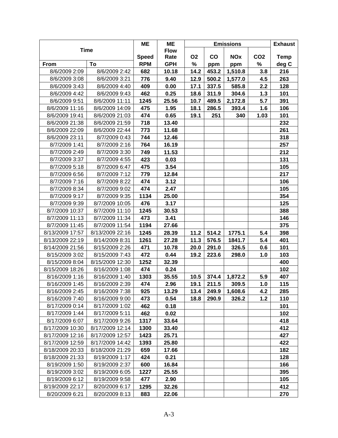|                 |                 | ME           | <b>ME</b>   | <b>Emissions</b> |           |            |                 | <b>Exhaust</b> |
|-----------------|-----------------|--------------|-------------|------------------|-----------|------------|-----------------|----------------|
|                 | <b>Time</b>     |              | <b>Flow</b> |                  |           |            |                 |                |
|                 |                 | <b>Speed</b> | Rate        | O <sub>2</sub>   | <b>CO</b> | <b>NOx</b> | CO <sub>2</sub> | <b>Temp</b>    |
| From            | To              | <b>RPM</b>   | <b>GPH</b>  | %                | ppm       | ppm        | %               | deg C          |
| 8/6/2009 2:09   | 8/6/2009 2:42   | 682          | 10.18       | 14.2             | 453.2     | 1,510.8    | 3.8             | 216            |
| 8/6/2009 3:08   | 8/6/2009 3:21   | 776          | 9.40        | 12.9             | 500.2     | 1,577.0    | 4.5             | 263            |
| 8/6/2009 3:43   | 8/6/2009 4:40   | 409          | 0.00        | 17.1             | 337.5     | 585.8      | 2.2             | 128            |
| 8/6/2009 4:42   | 8/6/2009 9:43   | 462          | 0.25        | 18.6             | 311.9     | 304.6      | 1.3             | 101            |
| 8/6/2009 9:51   | 8/6/2009 11:11  | 1245         | 25.56       | 10.7             | 489.5     | 2,172.8    | 5.7             | 391            |
| 8/6/2009 11:16  | 8/6/2009 14:09  | 475          | 1.95        | 18.1             | 286.5     | 393.4      | 1.6             | 106            |
| 8/6/2009 19:41  | 8/6/2009 21:03  | 474          | 0.65        | 19.1             | 251       | 340        | 1.03            | 101            |
| 8/6/2009 21:38  | 8/6/2009 21:59  | 718          | 13.40       |                  |           |            |                 | 232            |
| 8/6/2009 22:09  | 8/6/2009 22:44  | 773          | 11.68       |                  |           |            |                 | 261            |
| 8/6/2009 23:11  | 8/7/2009 0:43   | 744          | 12.46       |                  |           |            |                 | 318            |
| 8/7/2009 1:41   | 8/7/2009 2:16   | 764          | 16.19       |                  |           |            |                 | 257            |
| 8/7/2009 2:49   | 8/7/2009 3:30   | 749          | 11.53       |                  |           |            |                 | 212            |
| 8/7/2009 3:37   | 8/7/2009 4:55   | 423          | 0.03        |                  |           |            |                 | 131            |
| 8/7/2009 5:18   | 8/7/2009 6:47   | 475          | 3.54        |                  |           |            |                 | 105            |
| 8/7/2009 6:56   | 8/7/2009 7:12   | 779          | 12.84       |                  |           |            |                 | 217            |
| 8/7/2009 7:16   | 8/7/2009 8:22   | 474          | 3.12        |                  |           |            |                 | 106            |
| 8/7/2009 8:34   | 8/7/2009 9:02   | 474          | 2.47        |                  |           |            |                 | 105            |
| 8/7/2009 9:17   | 8/7/2009 9:35   | 1134         | 25.00       |                  |           |            |                 | 354            |
| 8/7/2009 9:39   | 8/7/2009 10:05  | 476          | 3.17        |                  |           |            |                 | 125            |
| 8/7/2009 10:37  | 8/7/2009 11:10  | 1245         | 30.53       |                  |           |            |                 | 388            |
| 8/7/2009 11:13  | 8/7/2009 11:34  | 473          | 3.41        |                  |           |            |                 | 146            |
| 8/7/2009 11:45  | 8/7/2009 11:54  | 1194         | 27.66       |                  |           |            |                 | 375            |
| 8/13/2009 17:57 | 8/13/2009 22:16 | 1245         | 28.39       | 11.2             | 514.2     | 1775.1     | 5.4             | 398            |
| 8/13/2009 22:19 | 8/14/2009 8:31  | 1261         | 27.28       | 11.3             | 576.5     | 1841.7     | 5.4             | 401            |
| 8/14/2009 21:56 | 8/15/2009 2:26  | 471          | 10.78       | 20.0             | 291.0     | 326.5      | 0.6             | 101            |
| 8/15/2009 3:02  | 8/15/2009 7:43  | 472          | 0.44        | 19.2             | 223.6     | 298.0      | 1.0             | 103            |
| 8/15/2009 8:04  | 8/15/2009 12:30 | 1252         | 32.39       |                  |           |            |                 | 400            |
| 8/15/2009 18:26 | 8/16/2009 1:08  | 474          | 0.24        |                  |           |            |                 | 102            |
| 8/16/2009 1:16  | 8/16/2009 1:40  | 1303         | 35.55       | 10.5             | 374.4     | 1,872.2    | 5.9             | 407            |
| 8/16/2009 1:45  | 8/16/2009 2:39  | 474          | 2.96        | 19.1             | 211.5     | 309.5      | 1.0             | 115            |
| 8/16/2009 2:45  | 8/16/2009 7:38  | 925          | 13.29       | 13.4             | 249.9     | 1,608.6    | 4.2             | 285            |
| 8/16/2009 7:40  | 8/16/2009 9:00  | 473          | 0.54        | 18.8             | 290.9     | 326.2      | $1.2$           | 110            |
| 8/17/2009 0:14  | 8/17/2009 1:02  | 462          | 0.18        |                  |           |            |                 | 101            |
| 8/17/2009 1:44  | 8/17/2009 5:11  | 462          | 0.02        |                  |           |            |                 | 102            |
| 8/17/2009 6:07  | 8/17/2009 9:26  | 1317         | 33.64       |                  |           |            |                 | 418            |
| 8/17/2009 10:30 | 8/17/2009 12:14 | 1300         | 33.40       |                  |           |            |                 | 412            |
| 8/17/2009 12:16 | 8/17/2009 12:57 | 1423         | 25.71       |                  |           |            |                 | 427            |
| 8/17/2009 12:59 | 8/17/2009 14:42 | 1393         | 25.80       |                  |           |            |                 | 422            |
| 8/18/2009 20:33 | 8/18/2009 21:29 | 659          | 17.66       |                  |           |            |                 | 182            |
| 8/18/2009 21:33 | 8/19/2009 1:17  | 424          | 0.21        |                  |           |            |                 | 128            |
| 8/19/2009 1:50  | 8/19/2009 2:37  | 600          | 16.84       |                  |           |            |                 | 166            |
| 8/19/2009 3:02  | 8/19/2009 6:05  | 1227         | 25.55       |                  |           |            |                 | 395            |
| 8/19/2009 6:12  | 8/19/2009 9:58  | 477          | 2.90        |                  |           |            |                 | 105            |
| 8/19/2009 22:17 | 8/20/2009 6:17  | 1295         | 32.26       |                  |           |            |                 | 412            |
| 8/20/2009 6:21  | 8/20/2009 8:13  | 883          | 22.06       |                  |           |            |                 | 270            |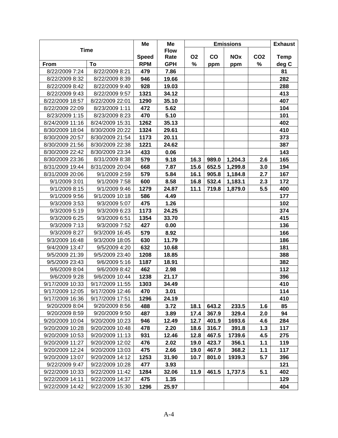|                 |                 | Me           | Me          | <b>Emissions</b> |                                                |         | <b>Exhaust</b> |            |
|-----------------|-----------------|--------------|-------------|------------------|------------------------------------------------|---------|----------------|------------|
|                 | <b>Time</b>     |              | <b>Flow</b> |                  |                                                |         |                |            |
|                 |                 | <b>Speed</b> | Rate        | <b>O2</b>        | $\mathbf{co}$<br><b>NOx</b><br>CO <sub>2</sub> |         |                |            |
| From            | To              | <b>RPM</b>   | <b>GPH</b>  | %                | ppm                                            | ppm     | %              | deg C      |
| 8/22/2009 7:24  | 8/22/2009 8:21  | 479          | 7.86        |                  |                                                |         |                | 81         |
| 8/22/2009 8:32  | 8/22/2009 8:39  | 946          | 19.66       |                  |                                                |         |                | 282        |
| 8/22/2009 8:42  | 8/22/2009 9:40  | 928          | 19.03       |                  |                                                |         |                | 288        |
| 8/22/2009 9:43  | 8/22/2009 9:57  | 1321         | 34.12       |                  |                                                |         |                | 413        |
| 8/22/2009 18:57 | 8/22/2009 22:01 | 1290         | 35.10       |                  |                                                |         |                | 407        |
| 8/22/2009 22:09 | 8/23/2009 1:11  | 472          | 5.62        |                  |                                                |         |                | 104        |
| 8/23/2009 1:15  | 8/23/2009 8:23  | 470          | 5.10        |                  |                                                |         |                | 101        |
| 8/24/2009 11:16 | 8/24/2009 15:31 | 1262         | 35.13       |                  |                                                |         |                | 402        |
| 8/30/2009 18:04 | 8/30/2009 20:22 | 1324         | 29.61       |                  |                                                |         |                | 410        |
| 8/30/2009 20:57 | 8/30/2009 21:54 | 1173         | 20.11       |                  |                                                |         |                | 373        |
| 8/30/2009 21:56 | 8/30/2009 22:38 | 1221         | 24.62       |                  |                                                |         |                | 387        |
| 8/30/2009 22:42 | 8/30/2009 23:34 | 433          | 0.06        |                  |                                                |         |                | 143        |
| 8/30/2009 23:36 | 8/31/2009 8:38  | 579          | 9.18        | 16.3             | 989.0                                          | 1,204.3 | 2.6            | 165        |
| 8/31/2009 19:44 | 8/31/2009 20:04 | 668          | 7.87        | 15.6             | 652.5                                          | 1,299.8 | 3.0            | 194        |
| 8/31/2009 20:06 | 9/1/2009 2:59   | 579          | 5.84        | 16.1             | 905.8                                          | 1,184.8 | 2.7            | 167        |
| 9/1/2009 3:01   | 9/1/2009 7:58   | 600          | 8.58        | 16.8             | 532.4                                          | 1,183.1 | 2.3            | 172        |
| 9/1/2009 8:15   | 9/1/2009 9:46   | 1279         | 24.87       | 11.1             | 719.8                                          | 1,879.0 | 5.5            | 400        |
| 9/1/2009 9:56   | 9/1/2009 10:18  | 586          | 4.49        |                  |                                                |         |                | 177        |
| 9/3/2009 3:53   | 9/3/2009 5:07   | 475          | 1.26        |                  |                                                |         |                | 102        |
| 9/3/2009 5:19   | 9/3/2009 6:23   | 1173         | 24.25       |                  |                                                |         |                | 374        |
| 9/3/2009 6:25   | 9/3/2009 6:51   | 1354         | 33.70       |                  |                                                |         |                | 415        |
| 9/3/2009 7:13   | 9/3/2009 7:52   | 427          | 0.00        |                  |                                                |         |                | 136        |
| 9/3/2009 8:27   | 9/3/2009 16:45  | 579          | 8.92        |                  |                                                |         |                | 166        |
| 9/3/2009 16:48  | 9/3/2009 18:05  | 630          | 11.79       |                  |                                                |         |                | 186        |
| 9/4/2009 13:47  | 9/5/2009 4:20   | 632          | 10.68       |                  |                                                |         |                | 181        |
| 9/5/2009 21:39  | 9/5/2009 23:40  | 1208         | 18.85       |                  |                                                |         |                | 388        |
| 9/5/2009 23:43  | 9/6/2009 5:16   | 1187         | 18.91       |                  |                                                |         |                | 382        |
| 9/6/2009 8:04   | 9/6/2009 8:42   | 462          | 2.98        |                  |                                                |         |                | 112        |
| 9/6/2009 9:28   | 9/6/2009 10:44  | 1238         | 21.17       |                  |                                                |         |                | 396        |
| 9/17/2009 10:33 | 9/17/2009 11:55 | 1303         | 34.49       |                  |                                                |         |                | 410        |
| 9/17/2009 12:05 | 9/17/2009 12:46 | 470          | 3.01        |                  |                                                |         |                | 114        |
| 9/17/2009 16:36 | 9/17/2009 17:51 | 1296         | 24.19       |                  |                                                |         |                | 410        |
| 9/20/2009 8:04  | 9/20/2009 8:56  | 488          | 3.72        | 18.1             | 643.2                                          | 233.5   | 1.6            | 85         |
| 9/20/2009 8:59  | 9/20/2009 9:50  | 487          | 3.89        | 17.4             | 367.9                                          | 329.4   | 2.0            | 94         |
| 9/20/2009 10:04 | 9/20/2009 10:23 | 946          | 12.49       | 12.7             | 401.9                                          | 1693.6  | 4.6            | 284        |
| 9/20/2009 10:28 | 9/20/2009 10:48 | 478          | 2.20        | 18.6             | 316.7                                          | 391.8   | 1.3            | 117        |
| 9/20/2009 10:53 | 9/20/2009 11:13 | 931          | 12.46       | 12.8             | 467.5                                          | 1739.6  | 4.5            | 275        |
| 9/20/2009 11:27 | 9/20/2009 12:02 | 476          | 2.02        | 19.0             | 423.7                                          | 356.1   | 1.1            | 119        |
| 9/20/2009 12:24 | 9/20/2009 13:03 | 475          | 2.66        | 19.0             | 467.9                                          | 368.2   | 1.1            | 117        |
|                 |                 | 1253         |             |                  |                                                |         | 5.7            |            |
| 9/20/2009 13:07 | 9/20/2009 14:12 |              | 31.90       | 10.7             | 801.0                                          | 1939.3  |                | 396<br>121 |
| 9/22/2009 9:47  | 9/22/2009 10:28 | 477          | 3.93        |                  |                                                |         |                |            |
| 9/22/2009 10:33 | 9/22/2009 11:42 | 1284         | 32.06       | 11.9             | 461.5                                          | 1,737.5 | 5.1            | 402        |
| 9/22/2009 14:11 | 9/22/2009 14:37 | 475          | 1.35        |                  |                                                |         |                | 129        |
| 9/22/2009 14:42 | 9/22/2009 15:30 | 1296         | 25.97       |                  |                                                |         |                | 404        |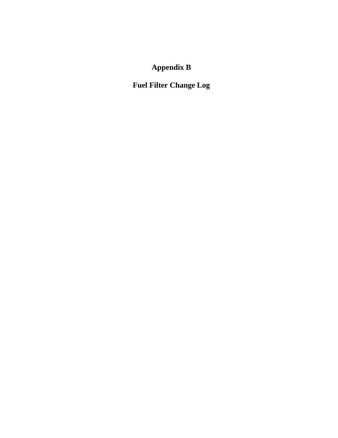# **Appendix B**

**Fuel Filter Change Log**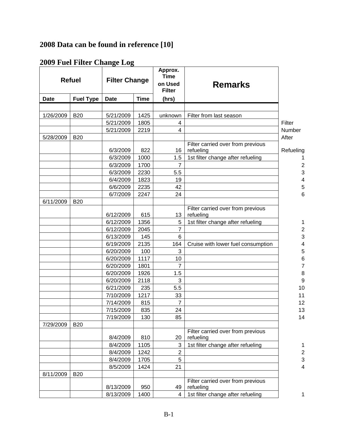## **2008 Data can be found in reference [10]**

### **2009 Fuel Filter Change Log**

| <b>Refuel</b> |                  | <b>Filter Change</b> |             | Approx.<br><b>Time</b><br>on Used<br><b>Filter</b> | <b>Remarks</b>                                 |                          |
|---------------|------------------|----------------------|-------------|----------------------------------------------------|------------------------------------------------|--------------------------|
| <b>Date</b>   | <b>Fuel Type</b> | <b>Date</b>          | <b>Time</b> | (hrs)                                              |                                                |                          |
|               |                  |                      |             |                                                    |                                                |                          |
| 1/26/2009     | <b>B20</b>       | 5/21/2009            | 1425        | unknown                                            | Filter from last season                        |                          |
|               |                  | 5/21/2009            | 1805        | 4                                                  |                                                | Filter                   |
|               |                  | 5/21/2009            | 2219        | $\overline{4}$                                     |                                                | Number                   |
| 5/28/2009     | <b>B20</b>       |                      |             |                                                    |                                                | After                    |
|               |                  |                      |             |                                                    | Filter carried over from previous              |                          |
|               |                  | 6/3/2009             | 822         | 16                                                 | refueling                                      | Refueling                |
|               |                  | 6/3/2009             | 1000        | 1.5                                                | 1st filter change after refueling              |                          |
|               |                  | 6/3/2009             | 1700        | $\overline{7}$                                     |                                                | $\overline{\mathbf{c}}$  |
|               |                  | 6/3/2009             | 2230        | 5.5                                                |                                                | 3                        |
|               |                  | 6/4/2009             | 1823        | 19                                                 |                                                | 4                        |
|               |                  | 6/6/2009             | 2235        | 42                                                 |                                                | 5                        |
|               |                  | 6/7/2009             | 2247        | 24                                                 |                                                | 6                        |
| 6/11/2009     | <b>B20</b>       |                      |             |                                                    |                                                |                          |
|               |                  |                      |             |                                                    | Filter carried over from previous              |                          |
|               |                  | 6/12/2009            | 615         | 13                                                 | refueling                                      |                          |
|               |                  | 6/12/2009            | 1356        | 5                                                  | 1st filter change after refueling              | 1                        |
|               |                  | 6/12/2009            | 2045        | $\overline{7}$                                     |                                                | $\overline{\mathbf{c}}$  |
|               |                  | 6/13/2009            | 145         | $6\phantom{1}6$                                    |                                                | 3                        |
|               |                  | 6/19/2009            | 2135        | 164                                                | Cruise with lower fuel consumption             | $\overline{\mathcal{A}}$ |
|               |                  | 6/20/2009            | 100         | 3                                                  |                                                | 5                        |
|               |                  | 6/20/2009            | 1117        | 10                                                 |                                                | $\overline{6}$           |
|               |                  | 6/20/2009            | 1801        | $\overline{7}$                                     |                                                | $\overline{7}$           |
|               |                  | 6/20/2009            | 1926        | 1.5                                                |                                                | 8                        |
|               |                  | 6/20/2009            | 2118        | 3                                                  |                                                | 9                        |
|               |                  | 6/21/2009            | 235         | 5.5                                                |                                                | 10                       |
|               |                  | 7/10/2009            | 1217        | 33                                                 |                                                | 11                       |
|               |                  | 7/14/2009            | 815         | $\overline{7}$                                     |                                                | 12                       |
|               |                  | 7/15/2009            | 835         | 24                                                 |                                                | 13                       |
|               |                  | 7/19/2009            | 130         | 85                                                 |                                                | 14                       |
| 7/29/2009     | <b>B20</b>       |                      |             |                                                    |                                                |                          |
|               |                  | 8/4/2009             | 810         | 20                                                 | Filter carried over from previous<br>refueling |                          |
|               |                  | 8/4/2009             | 1105        | 3                                                  | 1st filter change after refueling              | 1                        |
|               |                  | 8/4/2009             | 1242        | $\boldsymbol{2}$                                   |                                                | $\overline{\mathbf{c}}$  |
|               |                  | 8/4/2009             | 1705        | 5                                                  |                                                | 3                        |
|               |                  | 8/5/2009             | 1424        | 21                                                 |                                                | $\overline{\mathcal{A}}$ |
| 8/11/2009     | <b>B20</b>       |                      |             |                                                    |                                                |                          |
|               |                  |                      |             |                                                    | Filter carried over from previous              |                          |
|               |                  | 8/13/2009            | 950         | 49                                                 | refueling                                      |                          |
|               |                  | 8/13/2009            | 1400        | 4                                                  | 1st filter change after refueling              | 1                        |